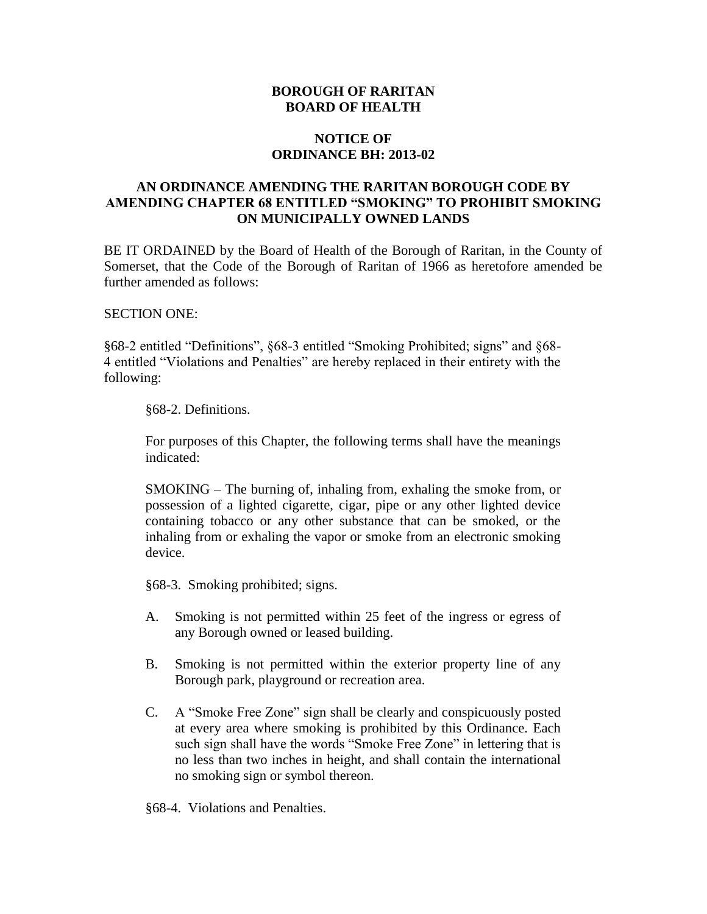# **BOROUGH OF RARITAN BOARD OF HEALTH**

# **NOTICE OF ORDINANCE BH: 2013-02**

# **AN ORDINANCE AMENDING THE RARITAN BOROUGH CODE BY AMENDING CHAPTER 68 ENTITLED "SMOKING" TO PROHIBIT SMOKING ON MUNICIPALLY OWNED LANDS**

BE IT ORDAINED by the Board of Health of the Borough of Raritan, in the County of Somerset, that the Code of the Borough of Raritan of 1966 as heretofore amended be further amended as follows:

#### SECTION ONE:

§68-2 entitled "Definitions", §68-3 entitled "Smoking Prohibited; signs" and §68- 4 entitled "Violations and Penalties" are hereby replaced in their entirety with the following:

§68-2. Definitions.

For purposes of this Chapter, the following terms shall have the meanings indicated:

SMOKING – The burning of, inhaling from, exhaling the smoke from, or possession of a lighted cigarette, cigar, pipe or any other lighted device containing tobacco or any other substance that can be smoked, or the inhaling from or exhaling the vapor or smoke from an electronic smoking device.

§68-3. Smoking prohibited; signs.

- A. Smoking is not permitted within 25 feet of the ingress or egress of any Borough owned or leased building.
- B. Smoking is not permitted within the exterior property line of any Borough park, playground or recreation area.
- C. A "Smoke Free Zone" sign shall be clearly and conspicuously posted at every area where smoking is prohibited by this Ordinance. Each such sign shall have the words "Smoke Free Zone" in lettering that is no less than two inches in height, and shall contain the international no smoking sign or symbol thereon.

§68-4. Violations and Penalties.